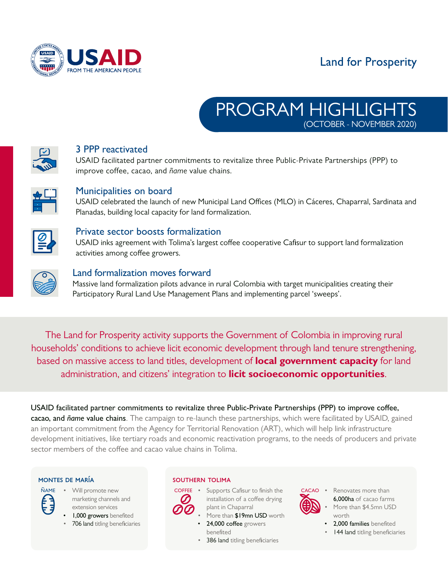

# **Land for Prosperity**





## 3 PPP reactivated

USAID facilitated partner commitments to revitalize three Public-Private Partnerships (PPP) to improve coffee, cacao, and *ñame* value chains.



## Municipalities on board

USAID celebrated the launch of new Municipal Land Offices (MLO) in Cáceres, Chaparral, Sardinata and Planadas, building local capacity for land formalization.



#### Private sector boosts formalization

USAID inks agreement with Tolima's largest coffee cooperative Cafisur to support land formalization activities among coffee growers.



#### Land formalization moves forward

Massive land formalization pilots advance in rural Colombia with target municipalities creating their Participatory Rural Land Use Management Plans and implementing parcel 'sweeps'.

The Land for Prosperity activity supports the Government of Colombia in improving rural households' conditions to achieve licit economic development through land tenure strengthening, based on massive access to land titles, development of **local government capacity** for land administration, and citizens' integration to **licit socioeconomic opportunities**.

USAID facilitated partner commitments to revitalize three Public-Private Partnerships (PPP) to improve coffee, cacao, and *ñame* value chains. The campaign to re-launch these partnerships, which were facilitated by USAID, gained an important commitment from the Agency for Territorial Renovation (ART), which will help link infrastructure development initiatives, like tertiary roads and economic reactivation programs, to the needs of producers and private sector members of the coffee and cacao value chains in Tolima.



- Will promote new marketing channels and extension services
	- **1,000 growers** benefited
	- 706 land titling beneficiaries

#### montes de maría southern tolima



**COFFEE** • Supports Cafisur to finish the installation of a coffee drying plant in Chaparral

- More than \$19mn USD worth
	- 24,000 coffee growers benefited
- 386 land titling beneficiaries



- Renovates more than 6,000ha of cacao farms More than \$4.5mn USD worth
- 2.000 families benefited
- 144 land titling beneficiaries